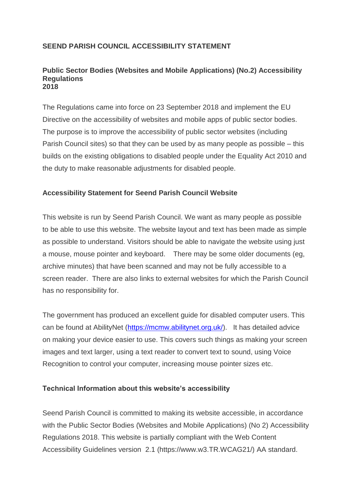# **SEEND PARISH COUNCIL ACCESSIBILITY STATEMENT**

#### **Public Sector Bodies (Websites and Mobile Applications) (No.2) Accessibility Regulations 2018**

The Regulations came into force on 23 September 2018 and implement the EU Directive on the accessibility of websites and mobile apps of public sector bodies. The purpose is to improve the accessibility of public sector websites (including Parish Council sites) so that they can be used by as many people as possible – this builds on the existing obligations to disabled people under the Equality Act 2010 and the duty to make reasonable adjustments for disabled people.

## **Accessibility Statement for Seend Parish Council Website**

This website is run by Seend Parish Council. We want as many people as possible to be able to use this website. The website layout and text has been made as simple as possible to understand. Visitors should be able to navigate the website using just a mouse, mouse pointer and keyboard. There may be some older documents (eg, archive minutes) that have been scanned and may not be fully accessible to a screen reader. There are also links to external websites for which the Parish Council has no responsibility for.

The government has produced an excellent guide for disabled computer users. This can be found at AbilityNet [\(https://mcmw.abilitynet.org.uk/\)](https://mcmw.abilitynet.org.uk/). It has detailed advice on making your device easier to use. This covers such things as making your screen images and text larger, using a text reader to convert text to sound, using Voice Recognition to control your computer, increasing mouse pointer sizes etc.

#### **Technical Information about this website's accessibility**

Seend Parish Council is committed to making its website accessible, in accordance with the Public Sector Bodies (Websites and Mobile Applications) (No 2) Accessibility Regulations 2018. This website is partially compliant with the Web Content Accessibility Guidelines version 2.1 (https://www.w3.TR.WCAG21/) AA standard.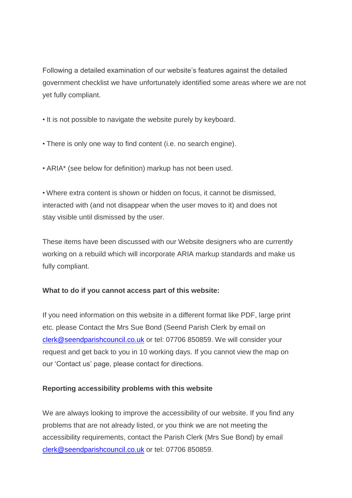Following a detailed examination of our website's features against the detailed government checklist we have unfortunately identified some areas where we are not yet fully compliant.

• It is not possible to navigate the website purely by keyboard.

• There is only one way to find content (i.e. no search engine).

• ARIA\* (see below for definition) markup has not been used.

• Where extra content is shown or hidden on focus, it cannot be dismissed, interacted with (and not disappear when the user moves to it) and does not stay visible until dismissed by the user.

These items have been discussed with our Website designers who are currently working on a rebuild which will incorporate ARIA markup standards and make us fully compliant.

# **What to do if you cannot access part of this website:**

If you need information on this website in a different format like PDF, large print etc. please Contact the Mrs Sue Bond (Seend Parish Clerk by email on [clerk@seendparishcouncil.co.uk](mailto:clerk@seendparishcouncil.co.uk) or tel: 07706 850859. We will consider your request and get back to you in 10 working days. If you cannot view the map on our 'Contact us' page, please contact for directions.

# **Reporting accessibility problems with this website**

We are always looking to improve the accessibility of our website. If you find any problems that are not already listed, or you think we are not meeting the accessibility requirements, contact the Parish Clerk (Mrs Sue Bond) by email [clerk@seendparishcouncil.co.uk](mailto:clerk@seendparishcouncil.co.uk) or tel: 07706 850859.